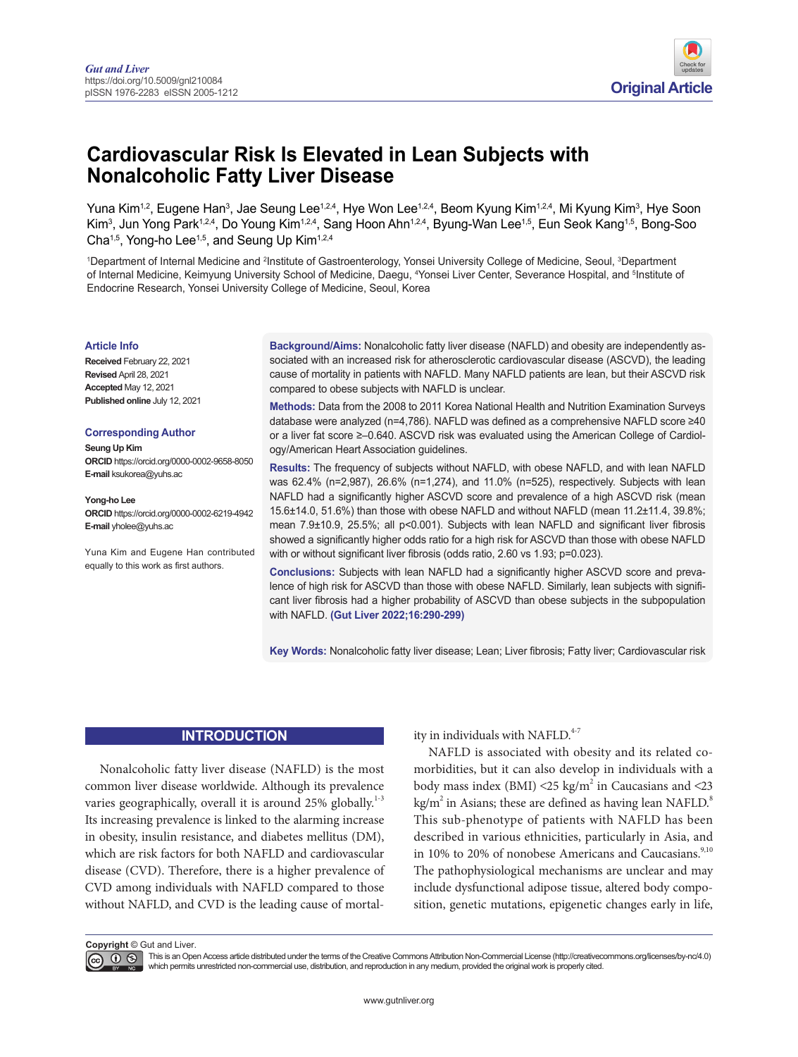

# **Cardiovascular Risk Is Elevated in Lean Subjects with Nonalcoholic Fatty Liver Disease**

Yuna Kim<sup>1,2</sup>, Eugene Han<sup>3</sup>, Jae Seung Lee<sup>1,2,4</sup>, Hye Won Lee<sup>1,2,4</sup>, Beom Kyung Kim<sup>1,2,4</sup>, Mi Kyung Kim<sup>3</sup>, Hye Soon Kim<sup>3</sup>, Jun Yong Park124, Do Young Kim124, Sang Hoon Ahn124, Byung-Wan Lee15, Eun Seok Kang15, Bong-Soo Cha<sup>1,5</sup>, Yong-ho Lee<sup>1,5</sup>, and Seung Up Kim<sup>1,2,4</sup>

1Department of Internal Medicine and <sup>2</sup>Institute of Gastroenterology, Yonsei University College of Medicine, Seoul, <sup>3</sup>Department of Internal Medicine, Keimyung University School of Medicine, Daegu, <sup>4</sup>Yonsei Liver Center, Severance Hospital, and <sup>s</sup>Institute of Endocrine Research, Yonsei University College of Medicine, Seoul, Korea

#### **Article Info**

**Received** February 22, 2021 **Revised** April 28, 2021 **Accepted** May 12, 2021 **Published online** July 12, 2021

#### **Corresponding Author**

**Seung Up Kim ORCID** https://orcid.org/0000-0002-9658-8050 **E-mail** ksukorea@yuhs.ac

**Yong-ho Lee ORCID** https://orcid.org/0000-0002-6219-4942 **E-mail** yholee@yuhs.ac

Yuna Kim and Eugene Han contributed equally to this work as first authors.

**Background/Aims:** Nonalcoholic fatty liver disease (NAFLD) and obesity are independently associated with an increased risk for atherosclerotic cardiovascular disease (ASCVD), the leading cause of mortality in patients with NAFLD. Many NAFLD patients are lean, but their ASCVD risk compared to obese subjects with NAFLD is unclear.

**Methods:** Data from the 2008 to 2011 Korea National Health and Nutrition Examination Surveys database were analyzed (n=4,786). NAFLD was defined as a comprehensive NAFLD score ≥40 or a liver fat score ≥–0.640. ASCVD risk was evaluated using the American College of Cardiology/American Heart Association guidelines.

**Results:** The frequency of subjects without NAFLD, with obese NAFLD, and with lean NAFLD was 62.4% (n=2,987), 26.6% (n=1,274), and 11.0% (n=525), respectively. Subjects with lean NAFLD had a significantly higher ASCVD score and prevalence of a high ASCVD risk (mean 15.6±14.0, 51.6%) than those with obese NAFLD and without NAFLD (mean 11.2±11.4, 39.8%; mean 7.9±10.9, 25.5%; all p<0.001). Subjects with lean NAFLD and significant liver fibrosis showed a significantly higher odds ratio for a high risk for ASCVD than those with obese NAFLD with or without significant liver fibrosis (odds ratio, 2.60 vs 1.93; p=0.023).

**Conclusions:** Subjects with lean NAFLD had a significantly higher ASCVD score and prevalence of high risk for ASCVD than those with obese NAFLD. Similarly, lean subjects with significant liver fibrosis had a higher probability of ASCVD than obese subjects in the subpopulation with NAFLD. **(Gut Liver 2022;16:290-299)**

**Key Words:** Nonalcoholic fatty liver disease; Lean; Liver fibrosis; Fatty liver; Cardiovascular risk

### **INTRODUCTION**

<span id="page-0-0"></span>Nonalcoholic fatty liver disease (NAFLD) is the most common liver disease worldwide. Although its prevalence varies geographically, overall it is around  $25\%$  globally.<sup>1-3</sup> Its increasing prevalence is linked to the alarming increase in obesity, insulin resistance, and diabetes mellitus (DM), which are risk factors for both NAFLD and cardiovascular disease (CVD). Therefore, there is a higher prevalence of CVD among individuals with NAFLD compared to those without NAFLD, and CVD is the leading cause of mortal<span id="page-0-1"></span>ity in individuals with NAFLD.<sup>4-7</sup>

<span id="page-0-3"></span><span id="page-0-2"></span>NAFLD is associated with obesity and its related comorbidities, but it can also develop in individuals with a body mass index (BMI)  $\leq$  25 kg/m<sup>2</sup> in Caucasians and  $\leq$  23 kg/m<sup>2</sup> in Asians; these are defined as having lean NAFLD.<sup>8</sup> This sub-phenotype of patients with NAFLD has been described in various ethnicities, particularly in Asia, and in 10% to 20% of nonobese Americans and Caucasians.<sup>[9,10](#page-8-3)</sup> The pathophysiological mechanisms are unclear and may include dysfunctional adipose tissue, altered body composition, genetic mutations, epigenetic changes early in life,

**Copyright** © Gut and Liver.

 $\circledcirc$ 

This is an Open Access article distributed under the terms of the Creative Commons Attribution Non-Commercial License (http://creativecommons.org/licenses/by-nc/4.0) which permits unrestricted non-commercial use, distribution, and reproduction in any medium, provided the original work is properly cited.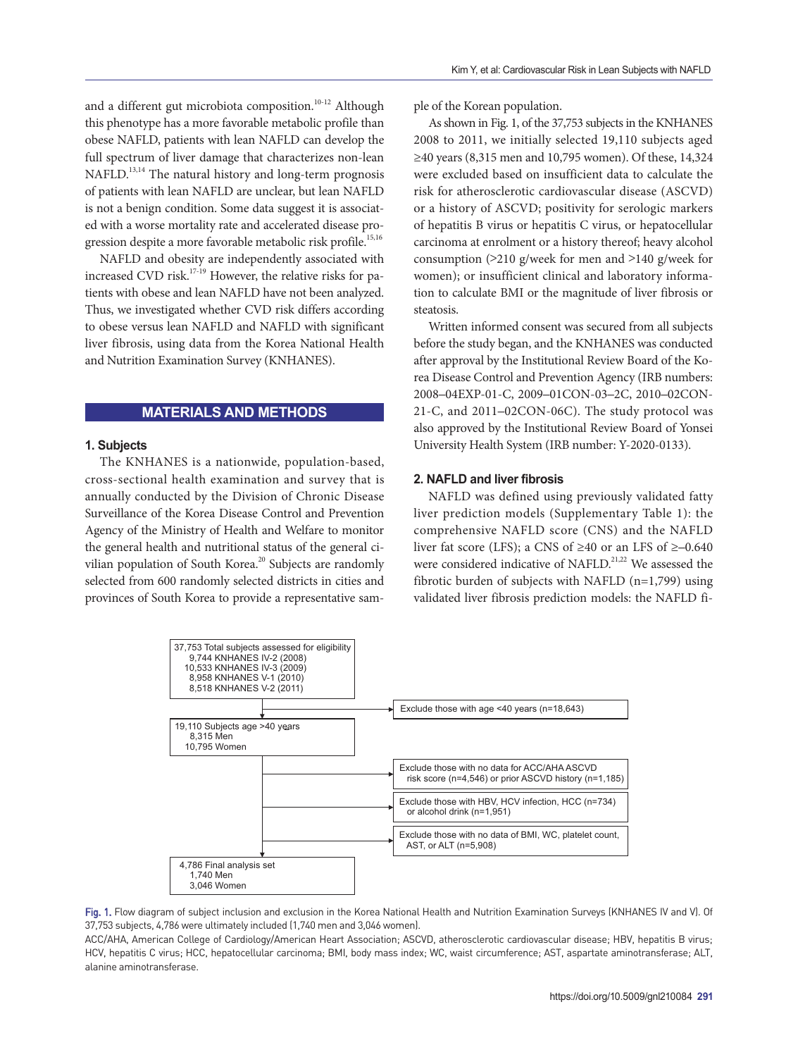<span id="page-1-1"></span><span id="page-1-0"></span>and a different gut microbiota composition.<sup>10-12</sup> Although this phenotype has a more favorable metabolic profile than obese NAFLD, patients with lean NAFLD can develop the full spectrum of liver damage that characterizes non-lean NAFLD.<sup>[13,14](#page-8-5)</sup> The natural history and long-term prognosis of patients with lean NAFLD are unclear, but lean NAFLD is not a benign condition. Some data suggest it is associated with a worse mortality rate and accelerated disease progression despite a more favorable metabolic risk profile.<sup>15,16</sup>

<span id="page-1-3"></span><span id="page-1-2"></span>NAFLD and obesity are independently associated with increased CVD risk.<sup>17-19</sup> However, the relative risks for patients with obese and lean NAFLD have not been analyzed. Thus, we investigated whether CVD risk differs according to obese versus lean NAFLD and NAFLD with significant liver fibrosis, using data from the Korea National Health and Nutrition Examination Survey (KNHANES).

### **MATERIALS AND METHODS**

### **1. Subjects**

<span id="page-1-4"></span>The KNHANES is a nationwide, population-based, cross-sectional health examination and survey that is annually conducted by the Division of Chronic Disease Surveillance of the Korea Disease Control and Prevention Agency of the Ministry of Health and Welfare to monitor the general health and nutritional status of the general civilian population of South Korea.<sup>20</sup> Subjects are randomly selected from 600 randomly selected districts in cities and provinces of South Korea to provide a representative sample of the Korean population.

As shown in Fig. 1, of the 37,753 subjects in the KNHANES 2008 to 2011, we initially selected 19,110 subjects aged ≥40 years (8,315 men and 10,795 women). Of these, 14,324 were excluded based on insufficient data to calculate the risk for atherosclerotic cardiovascular disease (ASCVD) or a history of ASCVD; positivity for serologic markers of hepatitis B virus or hepatitis C virus, or hepatocellular carcinoma at enrolment or a history thereof; heavy alcohol consumption (>210 g/week for men and >140 g/week for women); or insufficient clinical and laboratory information to calculate BMI or the magnitude of liver fibrosis or steatosis.

Written informed consent was secured from all subjects before the study began, and the KNHANES was conducted after approval by the Institutional Review Board of the Korea Disease Control and Prevention Agency (IRB numbers: 2008**–**04EXP-01-C, 2009**–**01CON-03**–**2C, 2010**–**02CON-21-C, and 2011**–**02CON-06C). The study protocol was also approved by the Institutional Review Board of Yonsei University Health System (IRB number: Y-2020-0133).

#### **2. NAFLD and liver fibrosis**

<span id="page-1-5"></span>NAFLD was defined using previously validated fatty liver prediction models (Supplementary Table 1): the comprehensive NAFLD score (CNS) and the NAFLD liver fat score (LFS); a CNS of ≥40 or an LFS of ≥**–**0.640 were considered indicative of NAFLD.<sup>21,22</sup> We assessed the fibrotic burden of subjects with NAFLD (n=1,799) using validated liver fibrosis prediction models: the NAFLD fi-



Fig. 1. Flow diagram of subject inclusion and exclusion in the Korea National Health and Nutrition Examination Surveys (KNHANES IV and V). Of 37,753 subjects, 4,786 were ultimately included (1,740 men and 3,046 women).

ACC/AHA, American College of Cardiology/American Heart Association; ASCVD, atherosclerotic cardiovascular disease; HBV, hepatitis B virus; HCV, hepatitis C virus; HCC, hepatocellular carcinoma; BMI, body mass index; WC, waist circumference; AST, aspartate aminotransferase; ALT, alanine aminotransferase.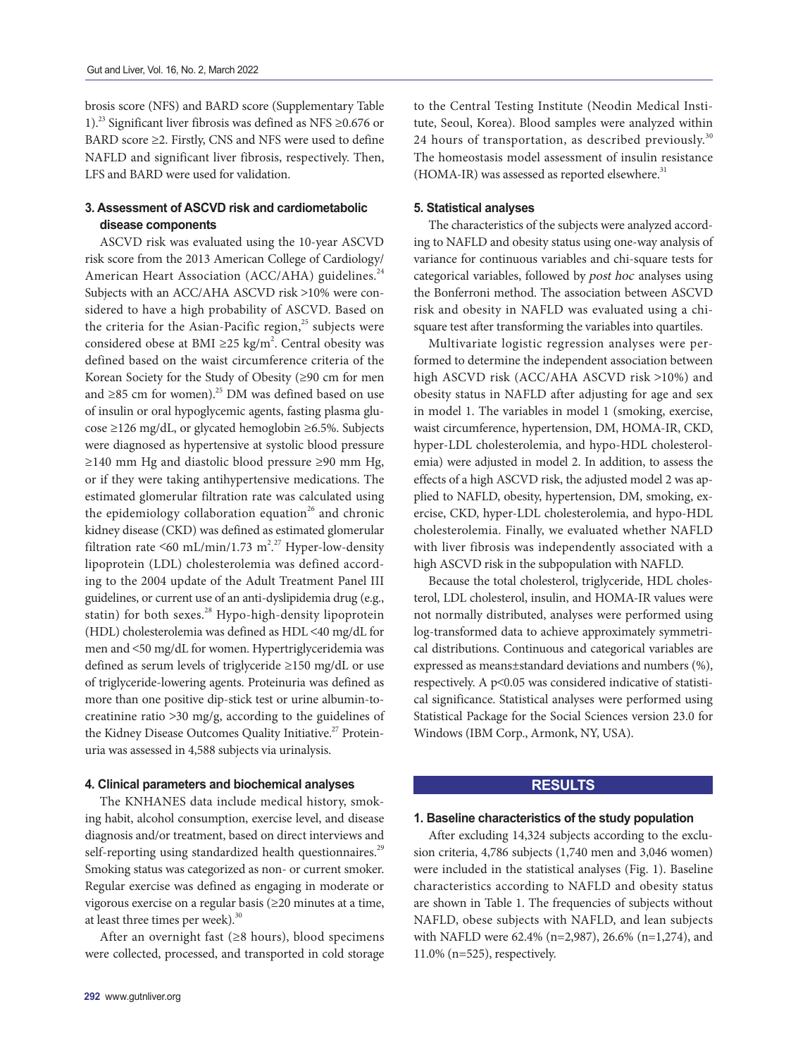<span id="page-2-0"></span>brosis score (NFS) and BARD score (Supplementary Table 1).<sup>23</sup> Significant liver fibrosis was defined as NFS ≥0.676 or BARD score ≥2. Firstly, CNS and NFS were used to define NAFLD and significant liver fibrosis, respectively. Then, LFS and BARD were used for validation.

# **3. Assessment of ASCVD risk and cardiometabolic disease components**

<span id="page-2-3"></span><span id="page-2-2"></span><span id="page-2-1"></span>ASCVD risk was evaluated using the 10-year ASCVD risk score from the 2013 American College of Cardiology/ American Heart Association (ACC/AHA) guidelines.<sup>[24](#page-8-11)</sup> Subjects with an ACC/AHA ASCVD risk >10% were considered to have a high probability of ASCVD. Based on the criteria for the Asian-Pacific region, $^{25}$  subjects were considered obese at BMI  $\geq$ 25 kg/m<sup>2</sup>. Central obesity was defined based on the waist circumference criteria of the Korean Society for the Study of Obesity (≥90 cm for men and ≥85 cm for women).<sup>25</sup> DM was defined based on use of insulin or oral hypoglycemic agents, fasting plasma glucose ≥126 mg/dL, or glycated hemoglobin ≥6.5%. Subjects were diagnosed as hypertensive at systolic blood pressure ≥140 mm Hg and diastolic blood pressure ≥90 mm Hg, or if they were taking antihypertensive medications. The estimated glomerular filtration rate was calculated using the epidemiology collaboration equation<sup>26</sup> and chronic kidney disease (CKD) was defined as estimated glomerular filtration rate <60 mL/min/1.73 m<sup>2,27</sup> Hyper-low-density lipoprotein (LDL) cholesterolemia was defined according to the 2004 update of the Adult Treatment Panel III guidelines, or current use of an anti-dyslipidemia drug (e.g., statin) for both sexes. $^{28}$  Hypo-high-density lipoprotein (HDL) cholesterolemia was defined as HDL <40 mg/dL for men and <50 mg/dL for women. Hypertriglyceridemia was defined as serum levels of triglyceride ≥150 mg/dL or use of triglyceride-lowering agents. Proteinuria was defined as more than one positive dip-stick test or urine albumin-tocreatinine ratio >30 mg/g, according to the guidelines of the Kidney Disease Outcomes Quality Initiative.<sup>27</sup> Proteinuria was assessed in 4,588 subjects via urinalysis.

#### <span id="page-2-5"></span>**4. Clinical parameters and biochemical analyses**

<span id="page-2-6"></span>The KNHANES data include medical history, smoking habit, alcohol consumption, exercise level, and disease diagnosis and/or treatment, based on direct interviews and self-reporting using standardized health questionnaires.<sup>[29](#page-9-2)</sup> Smoking status was categorized as non- or current smoker. Regular exercise was defined as engaging in moderate or vigorous exercise on a regular basis (≥20 minutes at a time, at least three times per week).<sup>30</sup>

<span id="page-2-7"></span>After an overnight fast (≥8 hours), blood specimens were collected, processed, and transported in cold storage to the Central Testing Institute (Neodin Medical Institute, Seoul, Korea). Blood samples were analyzed within 24 hours of transportation, as described previously. $30$ The homeostasis model assessment of insulin resistance  $(HOMA-IR)$  was assessed as reported elsewhere.<sup>31</sup>

#### <span id="page-2-8"></span>**5. Statistical analyses**

The characteristics of the subjects were analyzed according to NAFLD and obesity status using one-way analysis of variance for continuous variables and chi-square tests for categorical variables, followed by post hoc analyses using the Bonferroni method. The association between ASCVD risk and obesity in NAFLD was evaluated using a chisquare test after transforming the variables into quartiles.

Multivariate logistic regression analyses were performed to determine the independent association between high ASCVD risk (ACC/AHA ASCVD risk >10%) and obesity status in NAFLD after adjusting for age and sex in model 1. The variables in model 1 (smoking, exercise, waist circumference, hypertension, DM, HOMA-IR, CKD, hyper-LDL cholesterolemia, and hypo-HDL cholesterolemia) were adjusted in model 2. In addition, to assess the effects of a high ASCVD risk, the adjusted model 2 was applied to NAFLD, obesity, hypertension, DM, smoking, exercise, CKD, hyper-LDL cholesterolemia, and hypo-HDL cholesterolemia. Finally, we evaluated whether NAFLD with liver fibrosis was independently associated with a high ASCVD risk in the subpopulation with NAFLD.

<span id="page-2-4"></span>Because the total cholesterol, triglyceride, HDL cholesterol, LDL cholesterol, insulin, and HOMA-IR values were not normally distributed, analyses were performed using log-transformed data to achieve approximately symmetrical distributions. Continuous and categorical variables are expressed as means±standard deviations and numbers (%), respectively. A p<0.05 was considered indicative of statistical significance. Statistical analyses were performed using Statistical Package for the Social Sciences version 23.0 for Windows (IBM Corp., Armonk, NY, USA).

#### **RESULTS**

#### **1. Baseline characteristics of the study population**

After excluding 14,324 subjects according to the exclusion criteria, 4,786 subjects (1,740 men and 3,046 women) were included in the statistical analyses (Fig. 1). Baseline characteristics according to NAFLD and obesity status are shown in Table 1. The frequencies of subjects without NAFLD, obese subjects with NAFLD, and lean subjects with NAFLD were 62.4% (n=2,987), 26.6% (n=1,274), and 11.0% (n=525), respectively.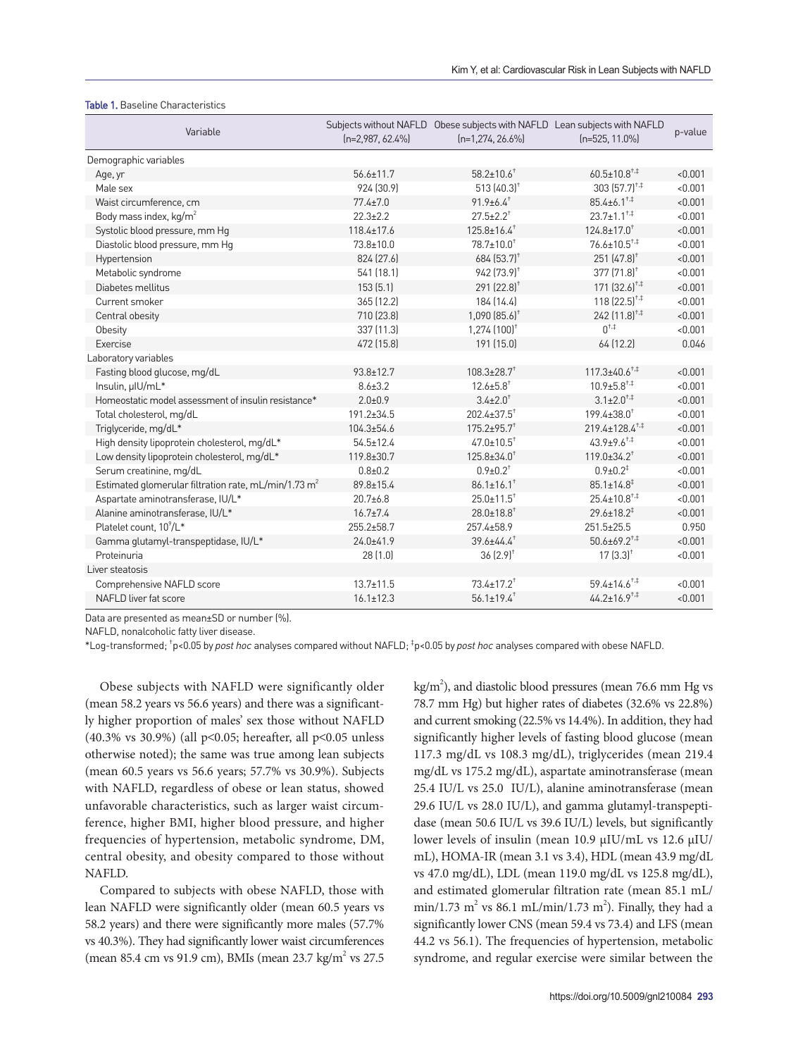#### Table 1. Baseline Characteristics

| Variable                                                         | $[n=2,987, 62.4\%]$ | Subjects without NAFLD Obese subjects with NAFLD Lean subjects with NAFLD<br>$[n=1,274, 26.6\%]$ | $[n=525, 11.0\%]$                     | p-value |
|------------------------------------------------------------------|---------------------|--------------------------------------------------------------------------------------------------|---------------------------------------|---------|
| Demographic variables                                            |                     |                                                                                                  |                                       |         |
| Age, yr                                                          | $56.6 \pm 11.7$     | $58.2 \pm 10.6$ <sup>+</sup>                                                                     | $60.5 \pm 10.8$ <sup>+.‡</sup>        | < 0.001 |
| Male sex                                                         | 924 (30.9)          | 513 $(40.3)^+$                                                                                   | $303(57.7)^{+1}$                      | < 0.001 |
| Waist circumference, cm                                          | $77.4 \pm 7.0$      | $91.9\pm6.4$ <sup>+</sup>                                                                        | $85.4 \pm 6.1^{\text{+},\ddagger}$    | < 0.001 |
| Body mass index, kg/m <sup>2</sup>                               | $22.3 \pm 2.2$      | $27.5 \pm 2.2$ <sup>+</sup>                                                                      | $23.7 \pm 1.1^{+4}$                   | < 0.001 |
| Systolic blood pressure, mm Hg                                   | $118.4 \pm 17.6$    | $125.8 \pm 16.4$ <sup>+</sup>                                                                    | $124.8 \pm 17.0$ <sup>+</sup>         | < 0.001 |
| Diastolic blood pressure, mm Hg                                  | 73.8±10.0           | $78.7 \pm 10.0$ <sup>+</sup>                                                                     | $76.6 \pm 10.5$ <sup>+,‡</sup>        | < 0.001 |
| Hypertension                                                     | 824 (27.6)          | $684$ (53.7) <sup>+</sup>                                                                        | $251(47.8)^+$                         | < 0.001 |
| Metabolic syndrome                                               | 541 (18.1)          | $942$ $[73.9]$ <sup>+</sup>                                                                      | 377 [71.8] <sup>+</sup>               | < 0.001 |
| Diabetes mellitus                                                | 153(5.1)            | 291 (22.8) <sup>+</sup>                                                                          | $171$ $(32.6)$ <sup>+,‡</sup>         | < 0.001 |
| Current smoker                                                   | 365 (12.2)          | 184 (14.4)                                                                                       | $118(22.5)^{+4}$                      | < 0.001 |
| Central obesity                                                  | 710 (23.8)          | $1,090(85.6)^+$                                                                                  | $242$ $(11.8)^{+1}$                   | < 0.001 |
| Obesity                                                          | 337 [11.3]          | $1,274$ $(100)^+$                                                                                | $0^{+,+}$                             | < 0.001 |
| Exercise                                                         | 472 (15.8)          | 191 (15.0)                                                                                       | 64 (12.2)                             | 0.046   |
| Laboratory variables                                             |                     |                                                                                                  |                                       |         |
| Fasting blood glucose, mg/dL                                     | $93.8 \pm 12.7$     | $108.3 \pm 28.7$ <sup>+</sup>                                                                    | $117.3 \pm 40.6$ <sup>+,‡</sup>       | < 0.001 |
| Insulin, µIU/mL*                                                 | $8.6 \pm 3.2$       | $12.6 \pm 5.8$ <sup>+</sup>                                                                      | $10.9 \pm 5.8$ <sup>+,‡</sup>         | < 0.001 |
| Homeostatic model assessment of insulin resistance*              | $2.0 + 0.9$         | $3.4 \pm 2.0^+$                                                                                  | $3.1 \pm 2.0^{+,}$                    | < 0.001 |
| Total cholesterol, mg/dL                                         | $191.2 \pm 34.5$    | $202.4 \pm 37.5$ <sup>+</sup>                                                                    | $199.4 \pm 38.0^+$                    | < 0.001 |
| Triglyceride, mg/dL*                                             | 104.3±54.6          | $175.2 \pm 95.7$ <sup>+</sup>                                                                    | $219.4 \pm 128.4^{\text{+},\ddagger}$ | < 0.001 |
| High density lipoprotein cholesterol, mg/dL*                     | $54.5 \pm 12.4$     | $47.0 \pm 10.5$ <sup>+</sup>                                                                     | $43.9 \pm 9.6$ <sup>+,‡</sup>         | < 0.001 |
| Low density lipoprotein cholesterol, mg/dL*                      | 119.8±30.7          | $125.8 \pm 34.0^+$                                                                               | $119.0 \pm 34.2^+$                    | < 0.001 |
| Serum creatinine, mg/dL                                          | $0.8 + 0.2$         | $0.9 \pm 0.2$ <sup>+</sup>                                                                       | $0.9 \pm 0.2^{\ddagger}$              | < 0.001 |
| Estimated glomerular filtration rate, mL/min/1.73 m <sup>2</sup> | $89.8 \pm 15.4$     | $86.1 \pm 16.1$ <sup>+</sup>                                                                     | $85.1 \pm 14.8^{\ddagger}$            | < 0.001 |
| Aspartate aminotransferase, IU/L*                                | $20.7 + 6.8$        | $25.0 \pm 11.5$ <sup>+</sup>                                                                     | $25.4 \pm 10.8$ <sup>++</sup>         | < 0.001 |
| Alanine aminotransferase, IU/L*                                  | $16.7 \pm 7.4$      | $28.0 \pm 18.8$ <sup>+</sup>                                                                     | $29.6 \pm 18.2^{\ddagger}$            | < 0.001 |
| Platelet count. 10 <sup>9</sup> /L <sup>*</sup>                  | 255.2±58.7          | 257.4±58.9                                                                                       | $251.5 \pm 25.5$                      | 0.950   |
| Gamma glutamyl-transpeptidase, IU/L*                             | $24.0 + 41.9$       | $39.6 \pm 44.4$ <sup>+</sup>                                                                     | $50.6 \pm 69.2$ <sup>+,‡</sup>        | < 0.001 |
| Proteinuria                                                      | 28 (1.0)            | $36(2.9)^+$                                                                                      | $17(3.3)^+$                           | < 0.001 |
| Liver steatosis                                                  |                     |                                                                                                  |                                       |         |
| Comprehensive NAFLD score                                        | $13.7 \pm 11.5$     | $73.4 \pm 17.2$ <sup>+</sup>                                                                     | $59.4 \pm 14.6$ <sup>+.‡</sup>        | < 0.001 |
| NAFLD liver fat score                                            | $16.1 \pm 12.3$     | $56.1 \pm 19.4$ <sup>+</sup>                                                                     | $44.2 \pm 16.9$ <sup>+,‡</sup>        | < 0.001 |

Data are presented as mean±SD or number (%).

NAFLD, nonalcoholic fatty liver disease.

\*Log-transformed; † p<0.05 by post hoc analyses compared without NAFLD; ‡ p<0.05 by post hoc analyses compared with obese NAFLD.

Obese subjects with NAFLD were significantly older (mean 58.2 years vs 56.6 years) and there was a significantly higher proportion of males' sex those without NAFLD (40.3% vs 30.9%) (all p<0.05; hereafter, all p<0.05 unless otherwise noted); the same was true among lean subjects (mean 60.5 years vs 56.6 years; 57.7% vs 30.9%). Subjects with NAFLD, regardless of obese or lean status, showed unfavorable characteristics, such as larger waist circumference, higher BMI, higher blood pressure, and higher frequencies of hypertension, metabolic syndrome, DM, central obesity, and obesity compared to those without NAFLD.

Compared to subjects with obese NAFLD, those with lean NAFLD were significantly older (mean 60.5 years vs 58.2 years) and there were significantly more males (57.7% vs 40.3%). They had significantly lower waist circumferences (mean 85.4 cm vs 91.9 cm), BMIs (mean 23.7 kg/m<sup>2</sup> vs 27.5

kg/m<sup>2</sup>), and diastolic blood pressures (mean 76.6 mm Hg vs 78.7 mm Hg) but higher rates of diabetes (32.6% vs 22.8%) and current smoking (22.5% vs 14.4%). In addition, they had significantly higher levels of fasting blood glucose (mean 117.3 mg/dL vs 108.3 mg/dL), triglycerides (mean 219.4 mg/dL vs 175.2 mg/dL), aspartate aminotransferase (mean 25.4 IU/L vs 25.0 IU/L), alanine aminotransferase (mean 29.6 IU/L vs 28.0 IU/L), and gamma glutamyl-transpeptidase (mean 50.6 IU/L vs 39.6 IU/L) levels, but significantly lower levels of insulin (mean 10.9 µIU/mL vs 12.6 µIU/ mL), HOMA-IR (mean 3.1 vs 3.4), HDL (mean 43.9 mg/dL vs 47.0 mg/dL), LDL (mean 119.0 mg/dL vs 125.8 mg/dL), and estimated glomerular filtration rate (mean 85.1 mL/  $min/1.73$  m<sup>2</sup> vs 86.1 mL/min/1.73 m<sup>2</sup>). Finally, they had a significantly lower CNS (mean 59.4 vs 73.4) and LFS (mean 44.2 vs 56.1). The frequencies of hypertension, metabolic syndrome, and regular exercise were similar between the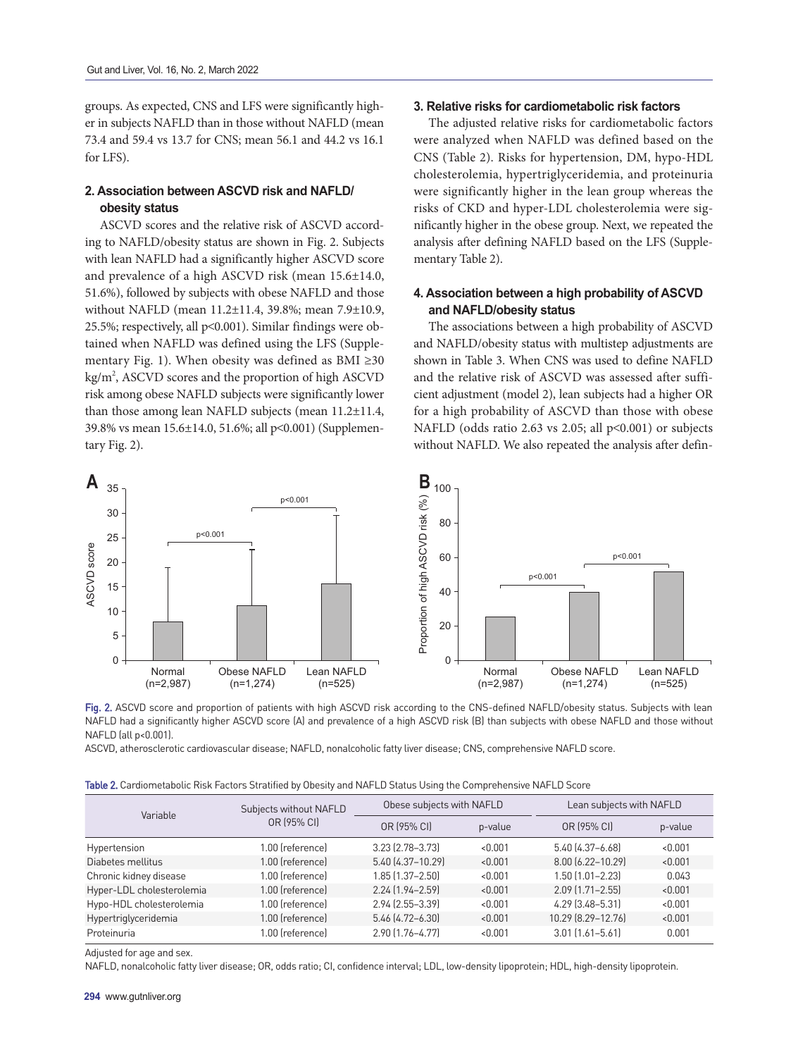groups. As expected, CNS and LFS were significantly higher in subjects NAFLD than in those without NAFLD (mean 73.4 and 59.4 vs 13.7 for CNS; mean 56.1 and 44.2 vs 16.1 for LFS).

# **2. Association between ASCVD risk and NAFLD/ obesity status**

ASCVD scores and the relative risk of ASCVD according to NAFLD/obesity status are shown in Fig. 2. Subjects with lean NAFLD had a significantly higher ASCVD score and prevalence of a high ASCVD risk (mean 15.6±14.0, 51.6%), followed by subjects with obese NAFLD and those without NAFLD (mean 11.2±11.4, 39.8%; mean 7.9±10.9, 25.5%; respectively, all p<0.001). Similar findings were obtained when NAFLD was defined using the LFS (Supplementary Fig. 1). When obesity was defined as BMI  $\geq 30$ kg/m<sup>2</sup>, ASCVD scores and the proportion of high ASCVD risk among obese NAFLD subjects were significantly lower than those among lean NAFLD subjects (mean 11.2±11.4, 39.8% vs mean 15.6±14.0, 51.6%; all p<0.001) (Supplementary Fig. 2).

#### **3. Relative risks for cardiometabolic risk factors**

The adjusted relative risks for cardiometabolic factors were analyzed when NAFLD was defined based on the CNS (Table 2). Risks for hypertension, DM, hypo-HDL cholesterolemia, hypertriglyceridemia, and proteinuria were significantly higher in the lean group whereas the risks of CKD and hyper-LDL cholesterolemia were significantly higher in the obese group. Next, we repeated the analysis after defining NAFLD based on the LFS (Supplementary Table 2).

# **4. Association between a high probability of ASCVD and NAFLD/obesity status**

The associations between a high probability of ASCVD and NAFLD/obesity status with multistep adjustments are shown in Table 3. When CNS was used to define NAFLD and the relative risk of ASCVD was assessed after sufficient adjustment (model 2), lean subjects had a higher OR for a high probability of ASCVD than those with obese NAFLD (odds ratio 2.63 vs 2.05; all p<0.001) or subjects without NAFLD. We also repeated the analysis after defin-





ASCVD, atherosclerotic cardiovascular disease; NAFLD, nonalcoholic fatty liver disease; CNS, comprehensive NAFLD score.

| Table 2. Cardiometabolic Risk Factors Stratified by Obesity and NAFLD Status Using the Comprehensive NAFLD Score |  |  |  |  |
|------------------------------------------------------------------------------------------------------------------|--|--|--|--|
|                                                                                                                  |  |  |  |  |

| Variable                  | Subjects without NAFLD | Obese subjects with NAFLD |         | Lean subjects with NAFLD |         |  |
|---------------------------|------------------------|---------------------------|---------|--------------------------|---------|--|
|                           | OR [95% CI]            | OR (95% CI)               | p-value | OR (95% CI)              | p-value |  |
| Hypertension              | 1.00 (reference)       | 3.23 (2.78-3.73)          | < 0.001 | 5.40 (4.37-6.68)         | < 0.001 |  |
| Diabetes mellitus         | 1.00 (reference)       | 5.40 (4.37-10.29)         | < 0.001 | 8.00 (6.22-10.29)        | < 0.001 |  |
| Chronic kidney disease    | 1.00 (reference)       | 1.85 (1.37-2.50)          | < 0.001 | $1.50$ $[1.01 - 2.23]$   | 0.043   |  |
| Hyper-LDL cholesterolemia | 1.00 (reference)       | 2.24 (1.94-2.59)          | < 0.001 | 2.09 (1.71-2.55)         | < 0.001 |  |
| Hypo-HDL cholesterolemia  | 1.00 (reference)       | 2.94 (2.55-3.39)          | < 0.001 | 4.29 (3.48-5.31)         | < 0.001 |  |
| Hypertriglyceridemia      | 1.00 (reference)       | 5.46 (4.72-6.30)          | < 0.001 | 10.29 (8.29-12.76)       | < 0.001 |  |
| Proteinuria               | 1.00 (reference)       | 2.90 (1.76-4.77)          | < 0.001 | $3.01$ $(1.61 - 5.61)$   | 0.001   |  |

Adjusted for age and sex.

NAFLD, nonalcoholic fatty liver disease; OR, odds ratio; CI, confidence interval; LDL, low-density lipoprotein; HDL, high-density lipoprotein.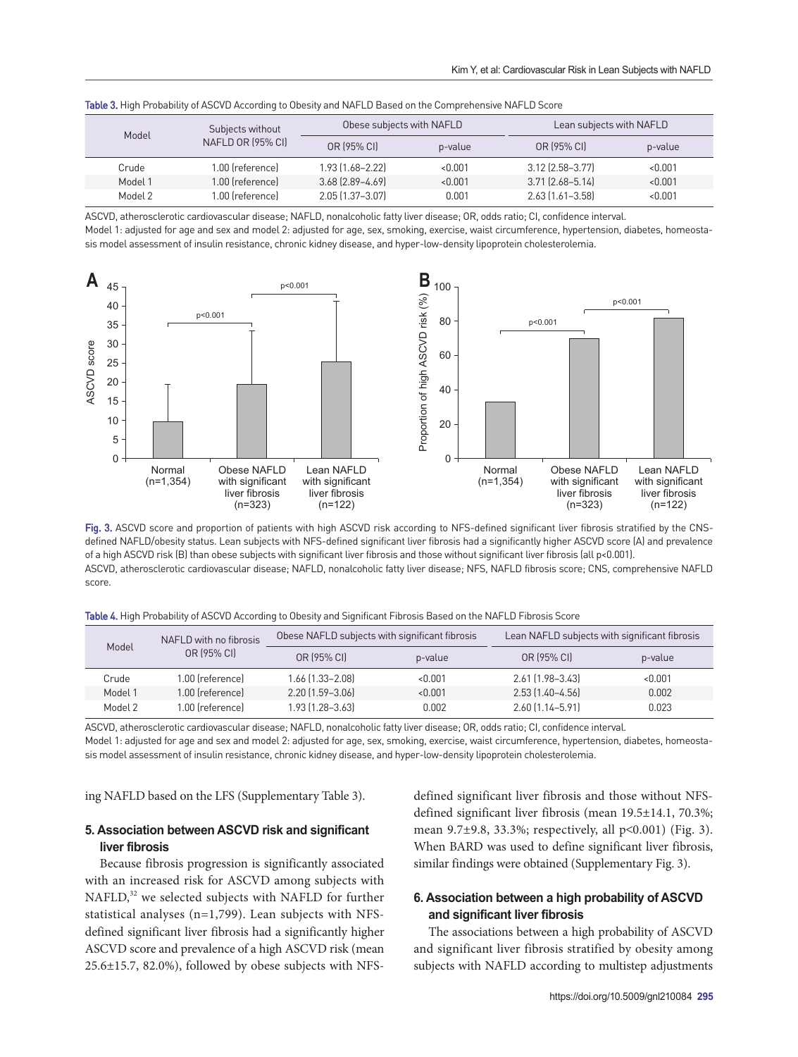| Subjects without<br>Model<br>NAFLD OR (95% CI) |                  | Obese subjects with NAFLD |             |                        | Lean subjects with NAFLD |  |
|------------------------------------------------|------------------|---------------------------|-------------|------------------------|--------------------------|--|
|                                                | OR (95% CI)      | p-value                   | OR (95% CI) | p-value                |                          |  |
| Crude                                          | 1.00 (reference) | 1.93 (1.68-2.22)          | < 0.001     | $3.12$ (2.58-3.77)     | < 0.001                  |  |
| Model 1                                        | 1.00 (reference) | $3.68$ $[2.89 - 4.69]$    | < 0.001     | $3.71$ $(2.68 - 5.14)$ | < 0.001                  |  |
| Model 2                                        | 1.00 (reference) | 2.05 (1.37-3.07)          | 0.001       | 2.63 (1.61-3.58)       | < 0.001                  |  |

|  | <b>Table 3.</b> High Probability of ASCVD According to Obesity and NAFLD Based on the Comprehensive NAFLD Score |  |
|--|-----------------------------------------------------------------------------------------------------------------|--|
|  |                                                                                                                 |  |

ASCVD, atherosclerotic cardiovascular disease; NAFLD, nonalcoholic fatty liver disease; OR, odds ratio; CI, confidence interval.

Model 1: adjusted for age and sex and model 2: adjusted for age, sex, smoking, exercise, waist circumference, hypertension, diabetes, homeostasis model assessment of insulin resistance, chronic kidney disease, and hyper-low-density lipoprotein cholesterolemia.



Fig. 3. ASCVD score and proportion of patients with high ASCVD risk according to NFS-defined significant liver fibrosis stratified by the CNSdefined NAFLD/obesity status. Lean subjects with NFS-defined significant liver fibrosis had a significantly higher ASCVD score (A) and prevalence of a high ASCVD risk (B) than obese subjects with significant liver fibrosis and those without significant liver fibrosis (all p<0.001). ASCVD, atherosclerotic cardiovascular disease; NAFLD, nonalcoholic fatty liver disease; NFS, NAFLD fibrosis score; CNS, comprehensive NAFLD score.

| Table 4. High Probability of ASCVD According to Obesity and Significant Fibrosis Based on the NAFLD Fibrosis Score |  |  |  |
|--------------------------------------------------------------------------------------------------------------------|--|--|--|
|                                                                                                                    |  |  |  |

| Model       | NAFLD with no fibrosis | Obese NAFLD subjects with significant fibrosis |         | Lean NAFLD subjects with significant fibrosis |         |
|-------------|------------------------|------------------------------------------------|---------|-----------------------------------------------|---------|
| OR (95% CI) |                        | OR (95% CI)                                    | p-value | OR (95% CI)                                   | p-value |
| Crude       | 1.00 (reference)       | 1.66 (1.33-2.08)                               | < 0.001 | $2.61$ $[1.98 - 3.43]$                        | < 0.001 |
| Model 1     | 1.00 (reference)       | $2.20$ $[1.59 - 3.06]$                         | < 0.001 | $2.53$ $[1.40 - 4.56]$                        | 0.002   |
| Model 2     | 1.00 (reference)       | 1.93 (1.28–3.63)                               | 0.002   | $2.60$ $(1.14 - 5.91)$                        | 0.023   |

ASCVD, atherosclerotic cardiovascular disease; NAFLD, nonalcoholic fatty liver disease; OR, odds ratio; CI, confidence interval. Model 1: adjusted for age and sex and model 2: adjusted for age, sex, smoking, exercise, waist circumference, hypertension, diabetes, homeostasis model assessment of insulin resistance, chronic kidney disease, and hyper-low-density lipoprotein cholesterolemia.

ing NAFLD based on the LFS (Supplementary Table 3).

# **5. Association between ASCVD risk and significant liver fibrosis**

<span id="page-5-0"></span>Because fibrosis progression is significantly associated with an increased risk for ASCVD among subjects with NAFLD,<sup>[32](#page-9-5)</sup> we selected subjects with NAFLD for further statistical analyses (n=1,799). Lean subjects with NFSdefined significant liver fibrosis had a significantly higher ASCVD score and prevalence of a high ASCVD risk (mean 25.6±15.7, 82.0%), followed by obese subjects with NFS-

defined significant liver fibrosis and those without NFSdefined significant liver fibrosis (mean 19.5±14.1, 70.3%; mean 9.7±9.8, 33.3%; respectively, all p<0.001) (Fig. 3). When BARD was used to define significant liver fibrosis, similar findings were obtained (Supplementary Fig. 3).

# **6. Association between a high probability of ASCVD and significant liver fibrosis**

The associations between a high probability of ASCVD and significant liver fibrosis stratified by obesity among subjects with NAFLD according to multistep adjustments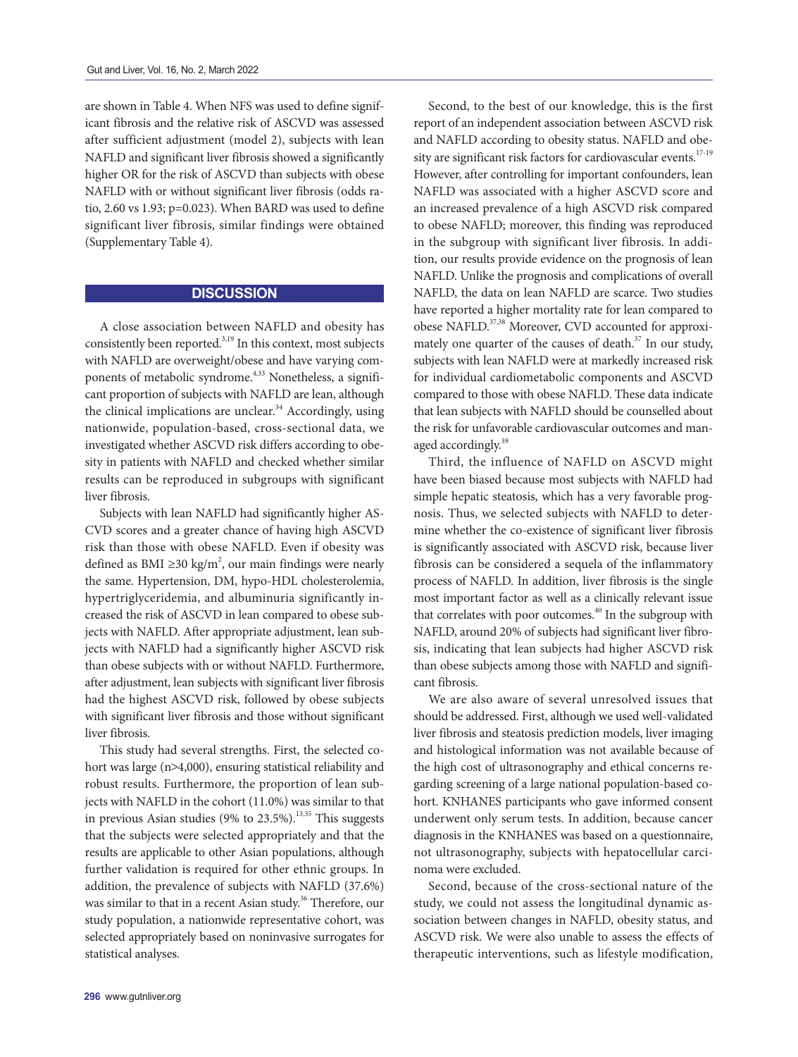are shown in Table 4. When NFS was used to define significant fibrosis and the relative risk of ASCVD was assessed after sufficient adjustment (model 2), subjects with lean NAFLD and significant liver fibrosis showed a significantly higher OR for the risk of ASCVD than subjects with obese NAFLD with or without significant liver fibrosis (odds ratio, 2.60 vs 1.93; p=0.023). When BARD was used to define significant liver fibrosis, similar findings were obtained (Supplementary Table 4).

# **DISCUSSION**

<span id="page-6-1"></span>A close association between NAFLD and obesity has consistently been reported.<sup>3,19</sup> In this context, most subjects with NAFLD are overweight/obese and have varying com-ponents of metabolic syndrome.<sup>4,[33](#page-9-6)</sup> Nonetheless, a significant proportion of subjects with NAFLD are lean, although the clinical implications are unclear.<sup>34</sup> Accordingly, using nationwide, population-based, cross-sectional data, we investigated whether ASCVD risk differs according to obesity in patients with NAFLD and checked whether similar results can be reproduced in subgroups with significant liver fibrosis.

Subjects with lean NAFLD had significantly higher AS-CVD scores and a greater chance of having high ASCVD risk than those with obese NAFLD. Even if obesity was defined as BMI ≥30 kg/m<sup>2</sup>, our main findings were nearly the same. Hypertension, DM, hypo-HDL cholesterolemia, hypertriglyceridemia, and albuminuria significantly increased the risk of ASCVD in lean compared to obese subjects with NAFLD. After appropriate adjustment, lean subjects with NAFLD had a significantly higher ASCVD risk than obese subjects with or without NAFLD. Furthermore, after adjustment, lean subjects with significant liver fibrosis had the highest ASCVD risk, followed by obese subjects with significant liver fibrosis and those without significant liver fibrosis.

<span id="page-6-3"></span>This study had several strengths. First, the selected cohort was large (n>4,000), ensuring statistical reliability and robust results. Furthermore, the proportion of lean subjects with NAFLD in the cohort (11.0%) was similar to that in previous Asian studies (9% to  $23.5\%$ ).<sup>[13](#page-8-5),[35](#page-9-8)</sup> This suggests that the subjects were selected appropriately and that the results are applicable to other Asian populations, although further validation is required for other ethnic groups. In addition, the prevalence of subjects with NAFLD (37.6%) was similar to that in a recent Asian study.<sup>36</sup> Therefore, our study population, a nationwide representative cohort, was selected appropriately based on noninvasive surrogates for statistical analyses.

Second, to the best of our knowledge, this is the first report of an independent association between ASCVD risk and NAFLD according to obesity status. NAFLD and obesity are significant risk factors for cardiovascular events.<sup>17-19</sup> However, after controlling for important confounders, lean NAFLD was associated with a higher ASCVD score and an increased prevalence of a high ASCVD risk compared to obese NAFLD; moreover, this finding was reproduced in the subgroup with significant liver fibrosis. In addition, our results provide evidence on the prognosis of lean NAFLD. Unlike the prognosis and complications of overall NAFLD, the data on lean NAFLD are scarce. Two studies have reported a higher mortality rate for lean compared to obese NAFLD.<sup>37,38</sup> Moreover, CVD accounted for approximately one quarter of the causes of death. $37$  In our study, subjects with lean NAFLD were at markedly increased risk for individual cardiometabolic components and ASCVD compared to those with obese NAFLD. These data indicate that lean subjects with NAFLD should be counselled about the risk for unfavorable cardiovascular outcomes and man-aged accordingly.<sup>[39](#page-9-11)</sup>

<span id="page-6-5"></span><span id="page-6-4"></span><span id="page-6-0"></span>Third, the influence of NAFLD on ASCVD might have been biased because most subjects with NAFLD had simple hepatic steatosis, which has a very favorable prognosis. Thus, we selected subjects with NAFLD to determine whether the co-existence of significant liver fibrosis is significantly associated with ASCVD risk, because liver fibrosis can be considered a sequela of the inflammatory process of NAFLD. In addition, liver fibrosis is the single most important factor as well as a clinically relevant issue that correlates with poor outcomes.<sup>40</sup> In the subgroup with NAFLD, around 20% of subjects had significant liver fibrosis, indicating that lean subjects had higher ASCVD risk than obese subjects among those with NAFLD and significant fibrosis.

<span id="page-6-6"></span>We are also aware of several unresolved issues that should be addressed. First, although we used well-validated liver fibrosis and steatosis prediction models, liver imaging and histological information was not available because of the high cost of ultrasonography and ethical concerns regarding screening of a large national population-based cohort. KNHANES participants who gave informed consent underwent only serum tests. In addition, because cancer diagnosis in the KNHANES was based on a questionnaire, not ultrasonography, subjects with hepatocellular carcinoma were excluded.

<span id="page-6-2"></span>Second, because of the cross-sectional nature of the study, we could not assess the longitudinal dynamic association between changes in NAFLD, obesity status, and ASCVD risk. We were also unable to assess the effects of therapeutic interventions, such as lifestyle modification,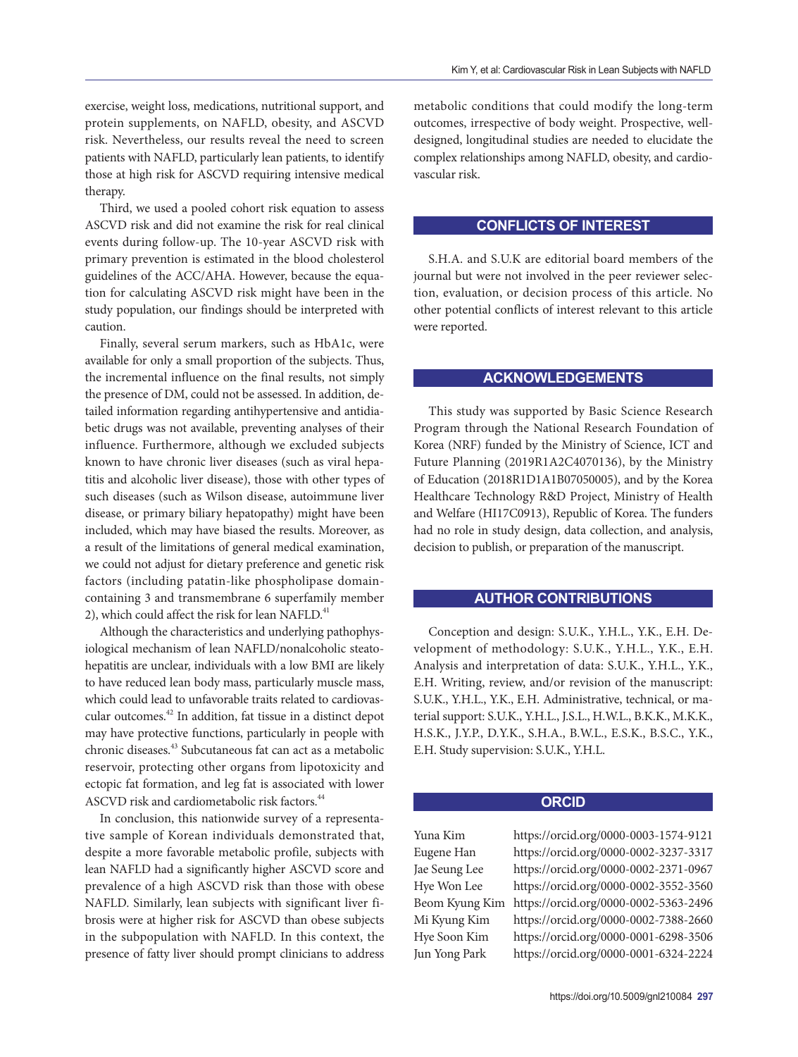exercise, weight loss, medications, nutritional support, and protein supplements, on NAFLD, obesity, and ASCVD risk. Nevertheless, our results reveal the need to screen patients with NAFLD, particularly lean patients, to identify those at high risk for ASCVD requiring intensive medical therapy.

Third, we used a pooled cohort risk equation to assess ASCVD risk and did not examine the risk for real clinical events during follow-up. The 10-year ASCVD risk with primary prevention is estimated in the blood cholesterol guidelines of the ACC/AHA. However, because the equation for calculating ASCVD risk might have been in the study population, our findings should be interpreted with caution.

Finally, several serum markers, such as HbA1c, were available for only a small proportion of the subjects. Thus, the incremental influence on the final results, not simply the presence of DM, could not be assessed. In addition, detailed information regarding antihypertensive and antidiabetic drugs was not available, preventing analyses of their influence. Furthermore, although we excluded subjects known to have chronic liver diseases (such as viral hepatitis and alcoholic liver disease), those with other types of such diseases (such as Wilson disease, autoimmune liver disease, or primary biliary hepatopathy) might have been included, which may have biased the results. Moreover, as a result of the limitations of general medical examination, we could not adjust for dietary preference and genetic risk factors (including patatin-like phospholipase domaincontaining 3 and transmembrane 6 superfamily member 2), which could affect the risk for lean NAFLD.<sup>[41](#page-9-13)</sup>

<span id="page-7-1"></span><span id="page-7-0"></span>Although the characteristics and underlying pathophysiological mechanism of lean NAFLD/nonalcoholic steatohepatitis are unclear, individuals with a low BMI are likely to have reduced lean body mass, particularly muscle mass, which could lead to unfavorable traits related to cardiovascular outcomes.[42](#page-9-14) In addition, fat tissue in a distinct depot may have protective functions, particularly in people with chronic diseases[.43](#page-9-15) Subcutaneous fat can act as a metabolic reservoir, protecting other organs from lipotoxicity and ectopic fat formation, and leg fat is associated with lower ASCVD risk and cardiometabolic risk factors.<sup>[44](#page-9-16)</sup>

<span id="page-7-3"></span><span id="page-7-2"></span>In conclusion, this nationwide survey of a representative sample of Korean individuals demonstrated that, despite a more favorable metabolic profile, subjects with lean NAFLD had a significantly higher ASCVD score and prevalence of a high ASCVD risk than those with obese NAFLD. Similarly, lean subjects with significant liver fibrosis were at higher risk for ASCVD than obese subjects in the subpopulation with NAFLD. In this context, the presence of fatty liver should prompt clinicians to address metabolic conditions that could modify the long-term outcomes, irrespective of body weight. Prospective, welldesigned, longitudinal studies are needed to elucidate the complex relationships among NAFLD, obesity, and cardiovascular risk.

#### **CONFLICTS OF INTEREST**

S.H.A. and S.U.K are editorial board members of the journal but were not involved in the peer reviewer selection, evaluation, or decision process of this article. No other potential conflicts of interest relevant to this article were reported.

### **ACKNOWLEDGEMENTS**

This study was supported by Basic Science Research Program through the National Research Foundation of Korea (NRF) funded by the Ministry of Science, ICT and Future Planning (2019R1A2C4070136), by the Ministry of Education (2018R1D1A1B07050005), and by the Korea Healthcare Technology R&D Project, Ministry of Health and Welfare (HI17C0913), Republic of Korea. The funders had no role in study design, data collection, and analysis, decision to publish, or preparation of the manuscript.

#### **AUTHOR CONTRIBUTIONS**

Conception and design: S.U.K., Y.H.L., Y.K., E.H. Development of methodology: S.U.K., Y.H.L., Y.K., E.H. Analysis and interpretation of data: S.U.K., Y.H.L., Y.K., E.H. Writing, review, and/or revision of the manuscript: S.U.K., Y.H.L., Y.K., E.H. Administrative, technical, or material support: S.U.K., Y.H.L., J.S.L., H.W.L., B.K.K., M.K.K., H.S.K., J.Y.P., D.Y.K., S.H.A., B.W.L., E.S.K., B.S.C., Y.K., E.H. Study supervision: S.U.K., Y.H.L.

### **ORCID**

Yuna Kim https://orcid.org/0000-0003-1574-9121 Eugene Han https://orcid.org/0000-0002-3237-3317 Jae Seung Lee https://orcid.org/0000-0002-2371-0967 Hye Won Lee https://orcid.org/0000-0002-3552-3560 Beom Kyung Kim https://orcid.org/0000-0002-5363-2496 Mi Kyung Kim https://orcid.org/0000-0002-7388-2660 Hye Soon Kim https://orcid.org/0000-0001-6298-3506 Jun Yong Park https://orcid.org/0000-0001-6324-2224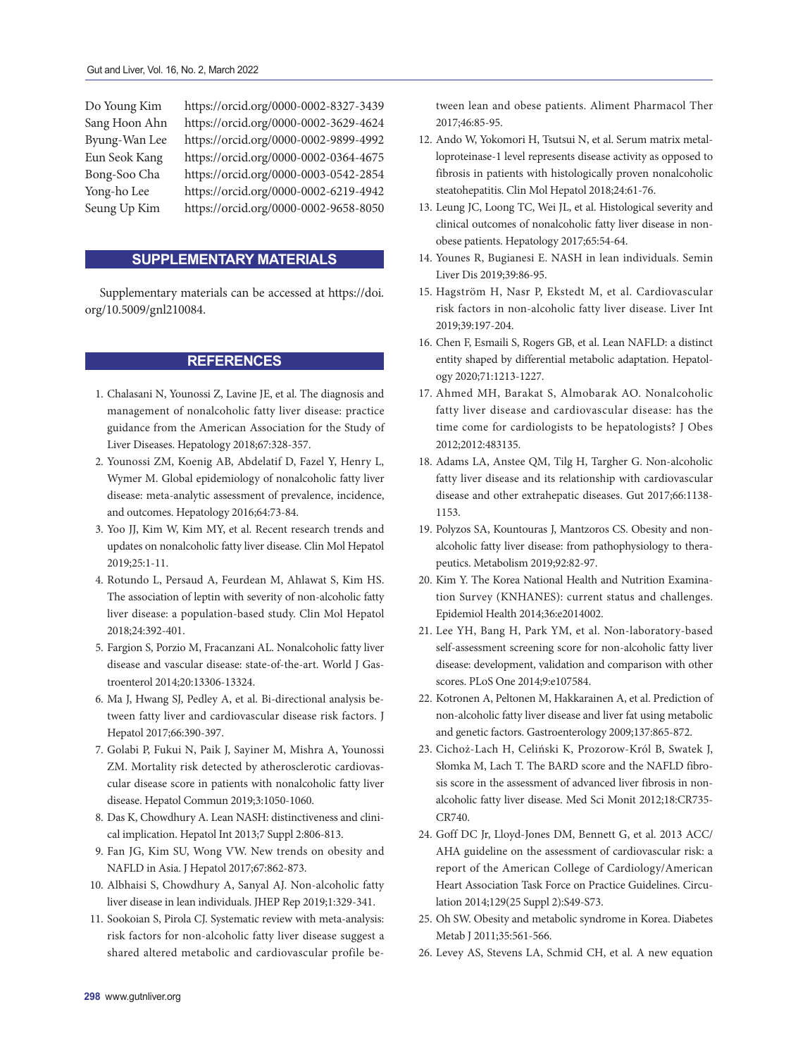Do Young Kim https://orcid.org/0000-0002-8327-3439 Sang Hoon Ahn https://orcid.org/0000-0002-3629-4624 Byung-Wan Lee https://orcid.org/0000-0002-9899-4992 Eun Seok Kang https://orcid.org/0000-0002-0364-4675 Bong-Soo Cha https://orcid.org/0000-0003-0542-2854 Yong-ho Lee https://orcid.org/0000-0002-6219-4942 Seung Up Kim https://orcid.org/0000-0002-9658-8050

# **SUPPLEMENTARY MATERIALS**

Supplementary materials can be accessed at https://doi. org/10.5009/gnl210084.

### **REFERENCES**

- <span id="page-8-0"></span>[1.](#page-0-0) Chalasani N, Younossi Z, Lavine JE, et al. The diagnosis and management of nonalcoholic fatty liver disease: practice guidance from the American Association for the Study of Liver Diseases. Hepatology 2018;67:328-357.
- [2.](#page-0-0) Younossi ZM, Koenig AB, Abdelatif D, Fazel Y, Henry L, Wymer M. Global epidemiology of nonalcoholic fatty liver disease: meta-analytic assessment of prevalence, incidence, and outcomes. Hepatology 2016;64:73-84.
- <span id="page-8-14"></span>[3.](#page-0-0) Yoo JJ, Kim W, Kim MY, et al. Recent research trends and updates on nonalcoholic fatty liver disease. Clin Mol Hepatol 2019;25:1-11.
- <span id="page-8-1"></span>[4.](#page-0-1) Rotundo L, Persaud A, Feurdean M, Ahlawat S, Kim HS. The association of leptin with severity of non-alcoholic fatty liver disease: a population-based study. Clin Mol Hepatol 2018;24:392-401.
- [5.](#page-0-1) Fargion S, Porzio M, Fracanzani AL. Nonalcoholic fatty liver disease and vascular disease: state-of-the-art. World J Gastroenterol 2014;20:13306-13324.
- [6.](#page-0-1) Ma J, Hwang SJ, Pedley A, et al. Bi-directional analysis between fatty liver and cardiovascular disease risk factors. J Hepatol 2017;66:390-397.
- [7.](#page-0-1) Golabi P, Fukui N, Paik J, Sayiner M, Mishra A, Younossi ZM. Mortality risk detected by atherosclerotic cardiovascular disease score in patients with nonalcoholic fatty liver disease. Hepatol Commun 2019;3:1050-1060.
- <span id="page-8-2"></span>[8.](#page-0-2) Das K, Chowdhury A. Lean NASH: distinctiveness and clinical implication. Hepatol Int 2013;7 Suppl 2:806-813.
- <span id="page-8-3"></span>[9.](#page-0-3) Fan JG, Kim SU, Wong VW. New trends on obesity and NAFLD in Asia. J Hepatol 2017;67:862-873.
- <span id="page-8-4"></span>[10.](#page-0-3) Albhaisi S, Chowdhury A, Sanyal AJ. Non-alcoholic fatty liver disease in lean individuals. JHEP Rep 2019;1:329-341.
- [11.](#page-1-0) Sookoian S, Pirola CJ. Systematic review with meta-analysis: risk factors for non-alcoholic fatty liver disease suggest a shared altered metabolic and cardiovascular profile be-

tween lean and obese patients. Aliment Pharmacol Ther 2017;46:85-95.

- [12.](#page-1-0) Ando W, Yokomori H, Tsutsui N, et al. Serum matrix metalloproteinase-1 level represents disease activity as opposed to fibrosis in patients with histologically proven nonalcoholic steatohepatitis. Clin Mol Hepatol 2018;24:61-76.
- <span id="page-8-5"></span>[13.](#page-1-1) Leung JC, Loong TC, Wei JL, et al. Histological severity and clinical outcomes of nonalcoholic fatty liver disease in nonobese patients. Hepatology 2017;65:54-64.
- [14.](#page-1-1) Younes R, Bugianesi E. NASH in lean individuals. Semin Liver Dis 2019;39:86-95.
- <span id="page-8-6"></span>[15.](#page-1-2) Hagström H, Nasr P, Ekstedt M, et al. Cardiovascular risk factors in non-alcoholic fatty liver disease. Liver Int 2019;39:197-204.
- [16.](#page-1-2) Chen F, Esmaili S, Rogers GB, et al. Lean NAFLD: a distinct entity shaped by differential metabolic adaptation. Hepatology 2020;71:1213-1227.
- <span id="page-8-7"></span>[17.](#page-1-3) Ahmed MH, Barakat S, Almobarak AO. Nonalcoholic fatty liver disease and cardiovascular disease: has the time come for cardiologists to be hepatologists? J Obes 2012;2012:483135.
- [18.](#page-1-3) Adams LA, Anstee QM, Tilg H, Targher G. Non-alcoholic fatty liver disease and its relationship with cardiovascular disease and other extrahepatic diseases. Gut 2017;66:1138- 1153.
- <span id="page-8-15"></span>[19.](#page-1-3) Polyzos SA, Kountouras J, Mantzoros CS. Obesity and nonalcoholic fatty liver disease: from pathophysiology to therapeutics. Metabolism 2019;92:82-97.
- <span id="page-8-8"></span>[20.](#page-1-4) Kim Y. The Korea National Health and Nutrition Examination Survey (KNHANES): current status and challenges. Epidemiol Health 2014;36:e2014002.
- <span id="page-8-9"></span>[21.](#page-1-5) Lee YH, Bang H, Park YM, et al. Non-laboratory-based self-assessment screening score for non-alcoholic fatty liver disease: development, validation and comparison with other scores. PLoS One 2014;9:e107584.
- [22.](#page-1-5) Kotronen A, Peltonen M, Hakkarainen A, et al. Prediction of non-alcoholic fatty liver disease and liver fat using metabolic and genetic factors. Gastroenterology 2009;137:865-872.
- <span id="page-8-10"></span>[23.](#page-2-0) Cichoż-Lach H, Celiński K, Prozorow-Król B, Swatek J, Słomka M, Lach T. The BARD score and the NAFLD fibrosis score in the assessment of advanced liver fibrosis in nonalcoholic fatty liver disease. Med Sci Monit 2012;18:CR735- CR740.
- <span id="page-8-11"></span>[24.](#page-2-1) Goff DC Jr, Lloyd-Jones DM, Bennett G, et al. 2013 ACC/ AHA guideline on the assessment of cardiovascular risk: a report of the American College of Cardiology/American Heart Association Task Force on Practice Guidelines. Circulation 2014;129(25 Suppl 2):S49-S73.
- <span id="page-8-12"></span>[25.](#page-2-2) Oh SW. Obesity and metabolic syndrome in Korea. Diabetes Metab J 2011;35:561-566.
- <span id="page-8-13"></span>[26.](#page-2-3) Levey AS, Stevens LA, Schmid CH, et al. A new equation